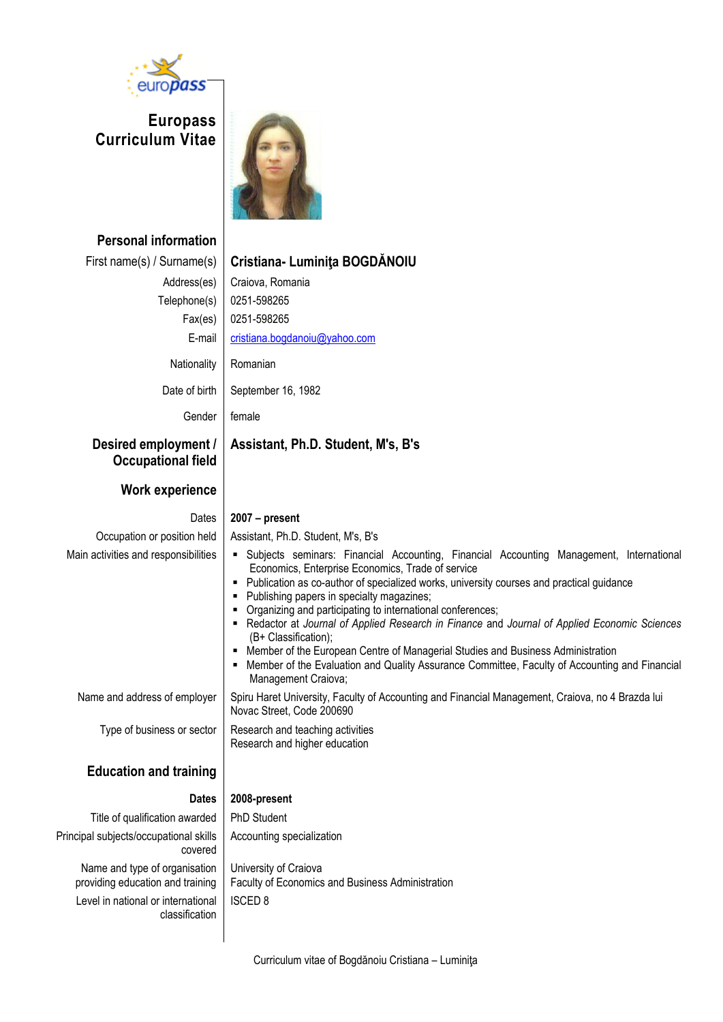

**Europass Curriculum Vitae**



| <b>Personal information</b>                                       |                                                                                                                                                                                                                                                                                                                                                                                                                                                                                                                                                                                                                                                                                                   |
|-------------------------------------------------------------------|---------------------------------------------------------------------------------------------------------------------------------------------------------------------------------------------------------------------------------------------------------------------------------------------------------------------------------------------------------------------------------------------------------------------------------------------------------------------------------------------------------------------------------------------------------------------------------------------------------------------------------------------------------------------------------------------------|
| First name(s) / Surname(s)                                        | Cristiana- Luminița BOGDĂNOIU                                                                                                                                                                                                                                                                                                                                                                                                                                                                                                                                                                                                                                                                     |
| Address(es)                                                       | Craiova, Romania                                                                                                                                                                                                                                                                                                                                                                                                                                                                                                                                                                                                                                                                                  |
| Telephone(s)                                                      | 0251-598265                                                                                                                                                                                                                                                                                                                                                                                                                                                                                                                                                                                                                                                                                       |
| Fax(es)                                                           | 0251-598265                                                                                                                                                                                                                                                                                                                                                                                                                                                                                                                                                                                                                                                                                       |
| E-mail                                                            | cristiana.bogdanoiu@yahoo.com                                                                                                                                                                                                                                                                                                                                                                                                                                                                                                                                                                                                                                                                     |
| Nationality                                                       | Romanian                                                                                                                                                                                                                                                                                                                                                                                                                                                                                                                                                                                                                                                                                          |
| Date of birth                                                     | September 16, 1982                                                                                                                                                                                                                                                                                                                                                                                                                                                                                                                                                                                                                                                                                |
| Gender                                                            | female                                                                                                                                                                                                                                                                                                                                                                                                                                                                                                                                                                                                                                                                                            |
| Desired employment /<br><b>Occupational field</b>                 | Assistant, Ph.D. Student, M's, B's                                                                                                                                                                                                                                                                                                                                                                                                                                                                                                                                                                                                                                                                |
| <b>Work experience</b>                                            |                                                                                                                                                                                                                                                                                                                                                                                                                                                                                                                                                                                                                                                                                                   |
| Dates                                                             | $2007 - present$                                                                                                                                                                                                                                                                                                                                                                                                                                                                                                                                                                                                                                                                                  |
| Occupation or position held                                       | Assistant, Ph.D. Student, M's, B's                                                                                                                                                                                                                                                                                                                                                                                                                                                                                                                                                                                                                                                                |
| Main activities and responsibilities                              | Subjects seminars: Financial Accounting, Financial Accounting Management, International<br>Economics, Enterprise Economics, Trade of service<br>• Publication as co-author of specialized works, university courses and practical guidance<br>• Publishing papers in specialty magazines;<br>• Organizing and participating to international conferences;<br>- Redactor at Journal of Applied Research in Finance and Journal of Applied Economic Sciences<br>(B+ Classification);<br>• Member of the European Centre of Managerial Studies and Business Administration<br>• Member of the Evaluation and Quality Assurance Committee, Faculty of Accounting and Financial<br>Management Craiova; |
| Name and address of employer                                      | Spiru Haret University, Faculty of Accounting and Financial Management, Craiova, no 4 Brazda lui<br>Novac Street, Code 200690                                                                                                                                                                                                                                                                                                                                                                                                                                                                                                                                                                     |
| Type of business or sector                                        | Research and teaching activities<br>Research and higher education                                                                                                                                                                                                                                                                                                                                                                                                                                                                                                                                                                                                                                 |
| <b>Education and training</b>                                     |                                                                                                                                                                                                                                                                                                                                                                                                                                                                                                                                                                                                                                                                                                   |
| <b>Dates</b>                                                      | 2008-present                                                                                                                                                                                                                                                                                                                                                                                                                                                                                                                                                                                                                                                                                      |
| Title of qualification awarded                                    | PhD Student                                                                                                                                                                                                                                                                                                                                                                                                                                                                                                                                                                                                                                                                                       |
| Principal subjects/occupational skills<br>covered                 | Accounting specialization                                                                                                                                                                                                                                                                                                                                                                                                                                                                                                                                                                                                                                                                         |
| Name and type of organisation<br>providing education and training | University of Craiova<br>Faculty of Economics and Business Administration                                                                                                                                                                                                                                                                                                                                                                                                                                                                                                                                                                                                                         |
| Level in national or international<br>classification              | <b>ISCED 8</b>                                                                                                                                                                                                                                                                                                                                                                                                                                                                                                                                                                                                                                                                                    |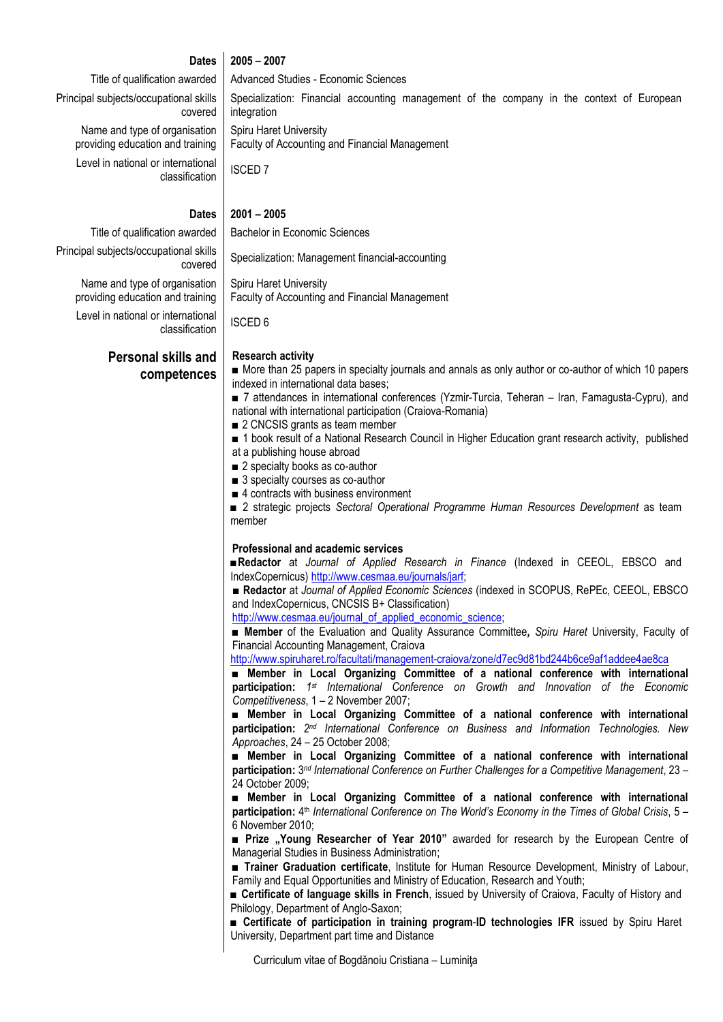#### **Dates 2005** – **2007**

integration

Spiru Haret University

#### Title of qualification awarded | Advanced Studies - Economic Sciences

Principal subjects/occupational skills covered

> Name and type of organisation providing education and training

Level in national or international classification | ISCED 7

#### **Dates 2001 – 2005**

Title of qualification awarded | Bachelor in Economic Sciences

Principal subjects/occupational skills ITEL SKIIIS Specialization: Management financial-accounting

> Spiru Haret University Faculty of Accounting and Financial Management

> Faculty of Accounting and Financial Management

Level in national or international classification | ISCED 6

Name and type of organisation

**Personal skills and competences**

#### **Research activity**

■ More than 25 papers in specialty journals and annals as only author or co-author of which 10 papers indexed in international data bases;

Specialization: Financial accounting management of the company in the context of European

■ 7 attendances in international conferences (Yzmir-Turcia, Teheran – Iran, Famagusta-Cypru), and national with international participation (Craiova-Romania)

- 2 CNCSIS grants as team member
- 1 book result of a National Research Council in Higher Education grant research activity, published at a publishing house abroad
- 2 specialty books as co-author
- 3 specialty courses as co-author
- 4 contracts with business environment

■ 2 strategic projects *Sectoral Operational Programme Human Resources Development* as team member

#### **Professional and academic services**

■**Redactor** at *Journal of Applied Research in Finance* (Indexed in CEEOL, EBSCO and IndexCopernicus) [http://www.cesmaa.eu/journals/jarf;](http://www.cesmaa.eu/journals/jarf)

**■ Redactor** at *Journal of Applied Economic Sciences* (indexed in SCOPUS, RePEc, CEEOL, EBSCO and IndexCopernicus, CNCSIS B+ Classification)

[http://www.cesmaa.eu/journal\\_of\\_applied\\_economic\\_science;](http://www.cesmaa.eu/journal_of_applied_economic_science)

■ **Member** of the Evaluation and Quality Assurance Committee*, Spiru Haret* University, Faculty of Financial Accounting Management, Craiova

<http://www.spiruharet.ro/facultati/management-craiova/zone/d7ec9d81bd244b6ce9af1addee4ae8ca>

■ Member in Local Organizing Committee of a national conference with international **participation:** *1 st International Conference on Growth and Innovation of the Economic Competitiveness*, 1 – 2 November 2007;

■ Member in Local Organizing Committee of a national conference with international **participation:**  $2^{nd}$  *International Conference on Business and Information Technologies. New Approaches*, 24 – 25 October 2008;

■ **Member in Local Organizing Committee of a national conference with international participation:** 3 *nd International Conference on Further Challenges for a Competitive Management*, 23 – 24 October 2009;

■ **Member in Local Organizing Committee of a national conference with international**  participation: 4<sup>th</sup> *International Conference on The World's Economy in the Times of Global Crisis*, 5 – 6 November 2010;

■ **Prize "Young Researcher of Year 2010"** awarded for research by the European Centre of Managerial Studies in Business Administration;

■ **Trainer Graduation certificate**, Institute for Human Resource Development, Ministry of Labour, Family and Equal Opportunities and Ministry of Education, Research and Youth;

■ **Certificate of language skills in French**, issued by University of Craiova, Faculty of History and Philology, Department of Anglo-Saxon;

■ **Certificate of participation in training program**-**ID technologies IFR** issued by Spiru Haret University, Department part time and Distance

Curriculum vitae of Bogdănoiu Cristiana – Luminiţa

providing education and training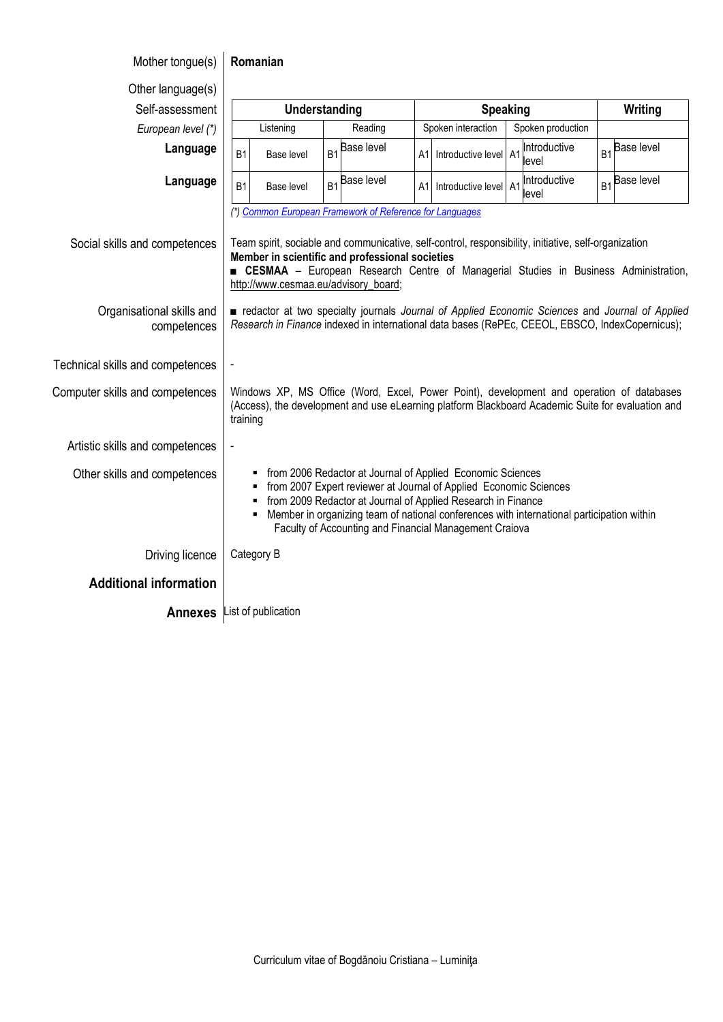# Mother tongue(s) **Romanian**

| Other language(s)                        |                                                                                                                                                                                                                                                                                                                                                                  |                                                                                                                                                                                                                                                                                                                                                            |                |                   |    |                       |                                                                                                                                                                                               |    |                           |
|------------------------------------------|------------------------------------------------------------------------------------------------------------------------------------------------------------------------------------------------------------------------------------------------------------------------------------------------------------------------------------------------------------------|------------------------------------------------------------------------------------------------------------------------------------------------------------------------------------------------------------------------------------------------------------------------------------------------------------------------------------------------------------|----------------|-------------------|----|-----------------------|-----------------------------------------------------------------------------------------------------------------------------------------------------------------------------------------------|----|---------------------------|
| Self-assessment                          | Understanding                                                                                                                                                                                                                                                                                                                                                    |                                                                                                                                                                                                                                                                                                                                                            |                | <b>Speaking</b>   |    |                       | Writing                                                                                                                                                                                       |    |                           |
| European level (*)                       |                                                                                                                                                                                                                                                                                                                                                                  | Listening                                                                                                                                                                                                                                                                                                                                                  |                | Reading           |    | Spoken interaction    | Spoken production                                                                                                                                                                             |    |                           |
| Language                                 | <b>B1</b>                                                                                                                                                                                                                                                                                                                                                        | Base level                                                                                                                                                                                                                                                                                                                                                 | B <sub>1</sub> | <b>Base level</b> | A1 | Introductive level A1 | Introductive<br>level                                                                                                                                                                         |    | B <sub>1</sub> Base level |
| Language                                 | <b>B1</b>                                                                                                                                                                                                                                                                                                                                                        | Base level                                                                                                                                                                                                                                                                                                                                                 | B <sub>1</sub> | <b>Base level</b> | A1 | Introductive level A1 | Introductive<br>level                                                                                                                                                                         | B1 | <b>Base level</b>         |
| Social skills and competences            |                                                                                                                                                                                                                                                                                                                                                                  | (*) Common European Framework of Reference for Languages<br>Team spirit, sociable and communicative, self-control, responsibility, initiative, self-organization<br>Member in scientific and professional societies<br><b>EXESMAA</b> - European Research Centre of Managerial Studies in Business Administration,<br>http://www.cesmaa.eu/advisory_board; |                |                   |    |                       |                                                                                                                                                                                               |    |                           |
| Organisational skills and<br>competences |                                                                                                                                                                                                                                                                                                                                                                  | redactor at two specialty journals Journal of Applied Economic Sciences and Journal of Applied<br>Research in Finance indexed in international data bases (RePEc, CEEOL, EBSCO, IndexCopernicus);                                                                                                                                                          |                |                   |    |                       |                                                                                                                                                                                               |    |                           |
| Technical skills and competences         |                                                                                                                                                                                                                                                                                                                                                                  |                                                                                                                                                                                                                                                                                                                                                            |                |                   |    |                       |                                                                                                                                                                                               |    |                           |
| Computer skills and competences          | training                                                                                                                                                                                                                                                                                                                                                         |                                                                                                                                                                                                                                                                                                                                                            |                |                   |    |                       | Windows XP, MS Office (Word, Excel, Power Point), development and operation of databases<br>(Access), the development and use eLearning platform Blackboard Academic Suite for evaluation and |    |                           |
| Artistic skills and competences          |                                                                                                                                                                                                                                                                                                                                                                  |                                                                                                                                                                                                                                                                                                                                                            |                |                   |    |                       |                                                                                                                                                                                               |    |                           |
| Other skills and competences             | from 2006 Redactor at Journal of Applied Economic Sciences<br>٠<br>from 2007 Expert reviewer at Journal of Applied Economic Sciences<br>٠<br>from 2009 Redactor at Journal of Applied Research in Finance<br>Member in organizing team of national conferences with international participation within<br>Faculty of Accounting and Financial Management Craiova |                                                                                                                                                                                                                                                                                                                                                            |                |                   |    |                       |                                                                                                                                                                                               |    |                           |
| Driving licence                          |                                                                                                                                                                                                                                                                                                                                                                  | Category B                                                                                                                                                                                                                                                                                                                                                 |                |                   |    |                       |                                                                                                                                                                                               |    |                           |
| <b>Additional information</b>            |                                                                                                                                                                                                                                                                                                                                                                  |                                                                                                                                                                                                                                                                                                                                                            |                |                   |    |                       |                                                                                                                                                                                               |    |                           |
| Annexes List of publication              |                                                                                                                                                                                                                                                                                                                                                                  |                                                                                                                                                                                                                                                                                                                                                            |                |                   |    |                       |                                                                                                                                                                                               |    |                           |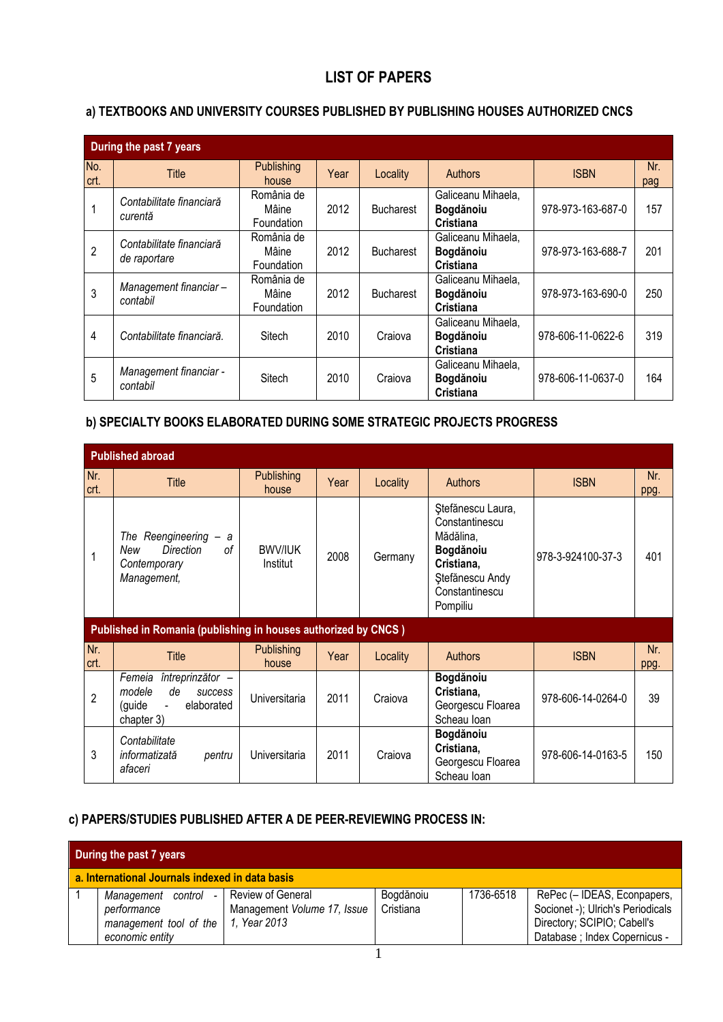## **LIST OF PAPERS**

#### **a) TEXTBOOKS AND UNIVERSITY COURSES PUBLISHED BY PUBLISHING HOUSES AUTHORIZED CNCS**

|                | During the past 7 years                  |                                   |      |                  |                                                     |                   |            |  |  |
|----------------|------------------------------------------|-----------------------------------|------|------------------|-----------------------------------------------------|-------------------|------------|--|--|
| No.<br>crt.    | <b>Title</b>                             | <b>Publishing</b><br>house        | Year | Locality         | <b>Authors</b>                                      | <b>ISBN</b>       | Nr.<br>pag |  |  |
|                | Contabilitate financiară<br>curentă      | România de<br>Mâine<br>Foundation | 2012 | <b>Bucharest</b> | Galiceanu Mihaela,<br>Bogdănoiu<br>Cristiana        | 978-973-163-687-0 | 157        |  |  |
| $\overline{2}$ | Contabilitate financiară<br>de raportare | România de<br>Mâine<br>Foundation | 2012 | <b>Bucharest</b> | Galiceanu Mihaela,<br>Bogdănoiu<br>Cristiana        | 978-973-163-688-7 | 201        |  |  |
| 3              | Management financiar-<br>contabil        | România de<br>Mâine<br>Foundation | 2012 | <b>Bucharest</b> | Galiceanu Mihaela,<br>Bogdănoiu<br>Cristiana        | 978-973-163-690-0 | 250        |  |  |
| 4              | Contabilitate financiară.                | Sitech                            | 2010 | Craiova          | Galiceanu Mihaela,<br>Bogdănoiu<br>Cristiana        | 978-606-11-0622-6 | 319        |  |  |
| 5              | Management financiar -<br>contabil       | Sitech                            | 2010 | Craiova          | Galiceanu Mihaela,<br>Bogdănoiu<br><b>Cristiana</b> | 978-606-11-0637-0 | 164        |  |  |

## **b) SPECIALTY BOOKS ELABORATED DURING SOME STRATEGIC PROJECTS PROGRESS**

|                | <b>Published abroad</b>                                                                                       |                            |      |          |                                                                                                                              |                   |             |  |  |
|----------------|---------------------------------------------------------------------------------------------------------------|----------------------------|------|----------|------------------------------------------------------------------------------------------------------------------------------|-------------------|-------------|--|--|
| Nr.<br>crt.    | <b>Title</b>                                                                                                  | <b>Publishing</b><br>house | Year | Locality | <b>Authors</b>                                                                                                               | <b>ISBN</b>       | Nr.<br>ppg. |  |  |
|                | The Reengineering<br>a<br><b>Direction</b><br>οf<br>New<br>Contemporary<br>Management,                        | <b>BWV/IUK</b><br>Institut | 2008 | Germany  | Ștefănescu Laura,<br>Constantinescu<br>Mădălina,<br>Bogdănoiu<br>Cristiana,<br>Stefänescu Andy<br>Constantinescu<br>Pompiliu | 978-3-924100-37-3 | 401         |  |  |
|                | Published in Romania (publishing in houses authorized by CNCS)                                                |                            |      |          |                                                                                                                              |                   |             |  |  |
| Nr.<br>crt.    | <b>Title</b>                                                                                                  | <b>Publishing</b><br>house | Year | Locality | <b>Authors</b>                                                                                                               | <b>ISBN</b>       | Nr.<br>ppg. |  |  |
| $\overline{2}$ | întreprinzător -<br>Femeia<br>modele<br>de<br>success<br>(guide<br>elaborated<br>$\blacksquare$<br>chapter 3) | Universitaria              | 2011 | Craiova  | Bogdănoiu<br>Cristiana,<br>Georgescu Floarea<br>Scheau Ioan                                                                  | 978-606-14-0264-0 | 39          |  |  |
| 3              | Contabilitate<br>informatizată<br>pentru<br>afaceri                                                           | Universitaria              | 2011 | Craiova  | Bogdănoiu<br>Cristiana,<br>Georgescu Floarea<br>Scheau Ioan                                                                  | 978-606-14-0163-5 | 150         |  |  |

#### **c) PAPERS/STUDIES PUBLISHED AFTER A DE PEER-REVIEWING PROCESS IN:**

| During the past 7 years                                                           |                                                                  |                        |           |                                                                                                                                  |  |  |  |  |
|-----------------------------------------------------------------------------------|------------------------------------------------------------------|------------------------|-----------|----------------------------------------------------------------------------------------------------------------------------------|--|--|--|--|
| a. International Journals indexed in data basis                                   |                                                                  |                        |           |                                                                                                                                  |  |  |  |  |
| Management<br>control<br>performance<br>management tool of the<br>economic entity | Review of General<br>Management Volume 17, Issue<br>1. Year 2013 | Bogdănoiu<br>Cristiana | 1736-6518 | RePec (- IDEAS, Econpapers,<br>Socionet -); Ulrich's Periodicals<br>Directory; SCIPIO; Cabell's<br>Database ; Index Copernicus - |  |  |  |  |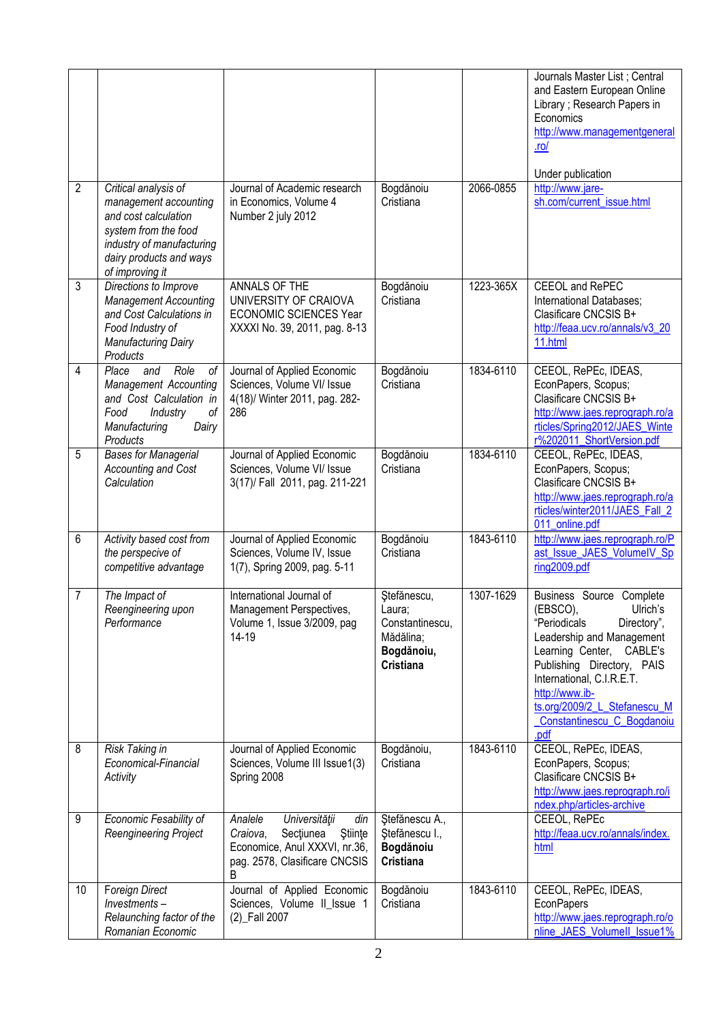|                |                                                                                                                                                                          |                                                                                                                                            |                                                                                         |           | Journals Master List; Central<br>and Eastern European Online<br>Library ; Research Papers in<br>Economics<br>http://www.managementgeneral<br>$ln$<br>Under publication                                                                                                                      |
|----------------|--------------------------------------------------------------------------------------------------------------------------------------------------------------------------|--------------------------------------------------------------------------------------------------------------------------------------------|-----------------------------------------------------------------------------------------|-----------|---------------------------------------------------------------------------------------------------------------------------------------------------------------------------------------------------------------------------------------------------------------------------------------------|
| $\overline{2}$ | Critical analysis of<br>management accounting<br>and cost calculation<br>system from the food<br>industry of manufacturing<br>dairy products and ways<br>of improving it | Journal of Academic research<br>in Economics, Volume 4<br>Number 2 july 2012                                                               | Bogdănoiu<br>Cristiana                                                                  | 2066-0855 | http://www.jare-<br>sh.com/current_issue.html                                                                                                                                                                                                                                               |
| 3              | Directions to Improve<br><b>Management Accounting</b><br>and Cost Calculations in<br>Food Industry of<br>Manufacturing Dairy<br>Products                                 | ANNALS OF THE<br>UNIVERSITY OF CRAIOVA<br><b>ECONOMIC SCIENCES Year</b><br>XXXXI No. 39, 2011, pag. 8-13                                   | Bogdănoiu<br>Cristiana                                                                  | 1223-365X | CEEOL and RePEC<br>International Databases;<br>Clasificare CNCSIS B+<br>http://feaa.ucv.ro/annals/v3_20<br>11.html                                                                                                                                                                          |
| 4              | Place<br>Role<br>οf<br>and<br><b>Management Accounting</b><br>and Cost Calculation in<br>of<br>Food<br>Industry<br>Dairy<br>Manufacturing<br>Products                    | Journal of Applied Economic<br>Sciences, Volume VI/ Issue<br>4(18)/ Winter 2011, pag. 282-<br>286                                          | Bogdănoiu<br>Cristiana                                                                  | 1834-6110 | CEEOL, RePEc, IDEAS,<br>EconPapers, Scopus;<br>Clasificare CNCSIS B+<br>http://www.jaes.reprograph.ro/a<br>rticles/Spring2012/JAES_Winte<br>r%202011_ShortVersion.pdf                                                                                                                       |
| 5              | <b>Bases for Managerial</b><br>Accounting and Cost<br>Calculation                                                                                                        | Journal of Applied Economic<br>Sciences, Volume VI/ Issue<br>3(17)/ Fall 2011, pag. 211-221                                                | Bogdănoiu<br>Cristiana                                                                  | 1834-6110 | CEEOL, RePEc, IDEAS,<br>EconPapers, Scopus;<br>Clasificare CNCSIS B+<br>http://www.jaes.reprograph.ro/a<br>rticles/winter2011/JAES Fall 2<br>011_online.pdf                                                                                                                                 |
| 6              | Activity based cost from<br>the perspecive of<br>competitive advantage                                                                                                   | Journal of Applied Economic<br>Sciences, Volume IV, Issue<br>1(7), Spring 2009, pag. 5-11                                                  | Bogdănoiu<br>Cristiana                                                                  | 1843-6110 | http://www.jaes.reprograph.ro/P<br>ast Issue JAES VolumeIV Sp<br>ring2009.pdf                                                                                                                                                                                                               |
| 7              | The Impact of<br>Reengineering upon<br>Performance                                                                                                                       | International Journal of<br>Management Perspectives,<br>Volume 1, Issue 3/2009, pag<br>14-19                                               | Stefănescu,<br>Laura;<br>Constantinescu,<br>Mădălina;<br>Bogdănoiu,<br><b>Cristiana</b> | 1307-1629 | Business Source Complete<br>(EBSCO),<br>Ulrich's<br>"Periodicals<br>Directory",<br>Leadership and Management<br>Learning Center, CABLE's<br>Publishing Directory, PAIS<br>International, C.I.R.E.T.<br>http://www.ib-<br>ts.org/2009/2 L Stefanescu M<br>Constantinescu_C_Bogdanoiu<br>.pdf |
| 8              | Risk Taking in<br>Economical-Financial<br>Activity                                                                                                                       | Journal of Applied Economic<br>Sciences, Volume III Issue1(3)<br>Spring 2008                                                               | Bogdănoiu,<br>Cristiana                                                                 | 1843-6110 | CEEOL, RePEc, IDEAS,<br>EconPapers, Scopus;<br>Clasificare CNCSIS B+<br>http://www.jaes.reprograph.ro/i<br>ndex.php/articles-archive                                                                                                                                                        |
| 9              | Economic Fesability of<br>Reengineering Project                                                                                                                          | Universității<br>Analele<br>din<br>Stiinte<br>Sectiunea<br>Craiova,<br>Economice, Anul XXXVI, nr.36,<br>pag. 2578, Clasificare CNCSIS<br>B | Stefănescu A.,<br>Stefănescu I.,<br>Bogdănoiu<br>Cristiana                              |           | CEEOL, RePEc<br>http://feaa.ucv.ro/annals/index.<br>html                                                                                                                                                                                                                                    |
| 10             | <b>Foreign Direct</b><br>Investments-<br>Relaunching factor of the<br>Romanian Economic                                                                                  | Journal of Applied Economic<br>Sciences, Volume II_Issue 1<br>(2) Fall 2007                                                                | Bogdănoiu<br>Cristiana                                                                  | 1843-6110 | CEEOL, RePEc, IDEAS,<br>EconPapers<br>http://www.jaes.reprograph.ro/o<br>nline_JAES_VolumeII_Issue1%                                                                                                                                                                                        |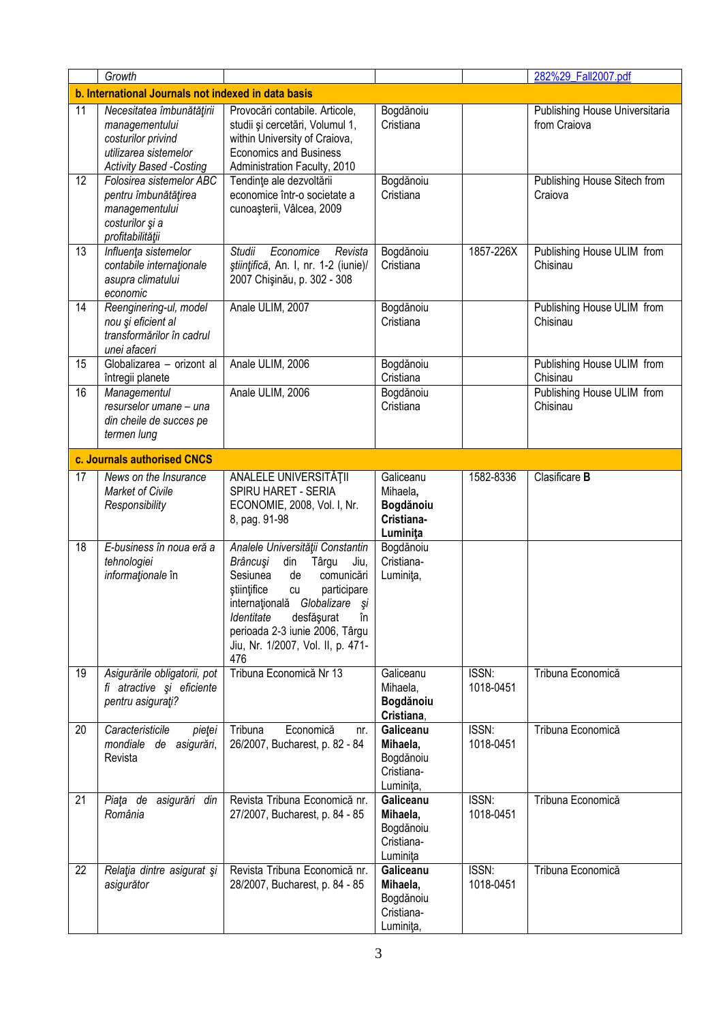|    | Growth                                                                                                                       |                                                                                                                                                                                                                                                                                              |                                                               |                    | 282%29_Fall2007.pdf                            |
|----|------------------------------------------------------------------------------------------------------------------------------|----------------------------------------------------------------------------------------------------------------------------------------------------------------------------------------------------------------------------------------------------------------------------------------------|---------------------------------------------------------------|--------------------|------------------------------------------------|
|    | b. International Journals not indexed in data basis                                                                          |                                                                                                                                                                                                                                                                                              |                                                               |                    |                                                |
| 11 | Necesitatea îmbunătățirii<br>managementului<br>costurilor privind<br>utilizarea sistemelor<br><b>Activity Based -Costing</b> | Provocări contabile. Articole,<br>studii și cercetări, Volumul 1,<br>within University of Craiova,<br><b>Economics and Business</b><br>Administration Faculty, 2010                                                                                                                          | Bogdănoiu<br>Cristiana                                        |                    | Publishing House Universitaria<br>from Craiova |
| 12 | Folosirea sistemelor ABC<br>pentru îmbunătățirea<br>managementului<br>costurilor și a<br>profitabilității                    | Tendințe ale dezvoltării<br>economice într-o societate a<br>cunoașterii, Vâlcea, 2009                                                                                                                                                                                                        | Bogdănoiu<br>Cristiana                                        |                    | Publishing House Sitech from<br>Craiova        |
| 13 | Influența sistemelor<br>contabile internaționale<br>asupra climatului<br>economic                                            | <b>Studii</b><br>Economice<br>Revista<br>științifică, An. I, nr. 1-2 (iunie)/<br>2007 Chişinău, p. 302 - 308                                                                                                                                                                                 | Bogdănoiu<br>Cristiana                                        | 1857-226X          | Publishing House ULIM from<br>Chisinau         |
| 14 | Reenginering-ul, model<br>nou și eficient al<br>transformărilor în cadrul<br>unei afaceri                                    | Anale ULIM, 2007                                                                                                                                                                                                                                                                             | Bogdănoiu<br>Cristiana                                        |                    | Publishing House ULIM from<br>Chisinau         |
| 15 | Globalizarea - orizont al<br>întregii planete                                                                                | Anale ULIM, 2006                                                                                                                                                                                                                                                                             | Bogdănoiu<br>Cristiana                                        |                    | Publishing House ULIM from<br>Chisinau         |
| 16 | Managementul<br>resurselor umane - una<br>din cheile de succes pe<br>termen lung                                             | Anale ULIM, 2006                                                                                                                                                                                                                                                                             | Bogdănoiu<br>Cristiana                                        |                    | Publishing House ULIM from<br>Chisinau         |
|    | c. Journals authorised CNCS                                                                                                  |                                                                                                                                                                                                                                                                                              |                                                               |                    |                                                |
| 17 | News on the Insurance<br>Market of Civile<br>Responsibility                                                                  | ANALELE UNIVERSITĂȚII<br>SPIRU HARET - SERIA<br>ECONOMIE, 2008, Vol. I, Nr.<br>8, pag. 91-98                                                                                                                                                                                                 | Galiceanu<br>Mihaela,<br>Bogdănoiu<br>Cristiana-<br>Luminita  | 1582-8336          | Clasificare B                                  |
| 18 | E-business în noua eră a<br>tehnologiei<br>informaționale în                                                                 | Analele Universității Constantin<br>Brâncuși<br>din<br>Târgu<br>Jiu,<br>Sesiunea<br>de<br>comunicări<br>stiintifice<br>cu<br>participare<br>Globalizare și<br>internațională<br>Identitate<br>desfășurat<br>în<br>perioada 2-3 iunie 2006, Târgu<br>Jiu, Nr. 1/2007, Vol. II, p. 471-<br>476 | Bogdănoiu<br>Cristiana-<br>Luminița,                          |                    |                                                |
| 19 | Asigurările obligatorii, pot<br>fi atractive și eficiente<br>pentru asigurați?                                               | Tribuna Economică Nr 13                                                                                                                                                                                                                                                                      | Galiceanu<br>Mihaela,<br>Bogdănoiu<br>Cristiana,              | ISSN:<br>1018-0451 | Tribuna Economică                              |
| 20 | Caracteristicile<br>pieței<br>de asigurări,<br>mondiale<br>Revista                                                           | Tribuna<br>Economică<br>nr.<br>26/2007, Bucharest, p. 82 - 84                                                                                                                                                                                                                                | Galiceanu<br>Mihaela,<br>Bogdănoiu<br>Cristiana-<br>Luminița, | ISSN:<br>1018-0451 | Tribuna Economică                              |
| 21 | Piata de<br>asigurări din<br>România                                                                                         | Revista Tribuna Economică nr.<br>27/2007, Bucharest, p. 84 - 85                                                                                                                                                                                                                              | Galiceanu<br>Mihaela,<br>Bogdănoiu<br>Cristiana-<br>Luminița  | ISSN:<br>1018-0451 | Tribuna Economică                              |
| 22 | Relația dintre asigurat și<br>asigurător                                                                                     | Revista Tribuna Economică nr.<br>28/2007, Bucharest, p. 84 - 85                                                                                                                                                                                                                              | Galiceanu<br>Mihaela,<br>Bogdănoiu<br>Cristiana-<br>Luminita, | ISSN:<br>1018-0451 | Tribuna Economică                              |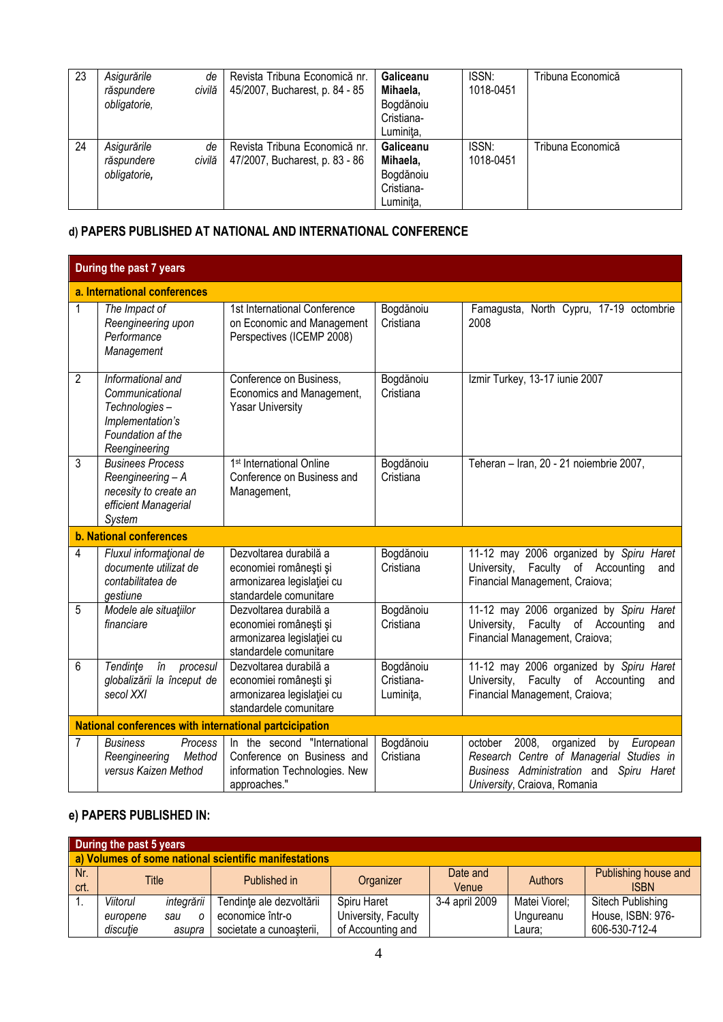| 23 | Asigurările<br>răspundere<br>obligatorie, | de<br>civilă | Revista Tribuna Economică nr.<br>45/2007, Bucharest, p. 84 - 85 | Galiceanu<br>Mihaela,<br>Bogdănoiu<br>Cristiana-<br>Luminita, | ISSN:<br>1018-0451 | Tribuna Economică |
|----|-------------------------------------------|--------------|-----------------------------------------------------------------|---------------------------------------------------------------|--------------------|-------------------|
| 24 | Asigurările<br>răspundere<br>obligatorie, | de<br>civilă | Revista Tribuna Economică nr.<br>47/2007, Bucharest, p. 83 - 86 | Galiceanu<br>Mihaela,<br>Bogdănoiu<br>Cristiana-<br>Luminita, | ISSN:<br>1018-0451 | Tribuna Economică |

# **d) PAPERS PUBLISHED AT NATIONAL AND INTERNATIONAL CONFERENCE**

|                | During the past 7 years                                                                                         |                                                                                                             |                                      |                                                                                                                                                                        |
|----------------|-----------------------------------------------------------------------------------------------------------------|-------------------------------------------------------------------------------------------------------------|--------------------------------------|------------------------------------------------------------------------------------------------------------------------------------------------------------------------|
|                | a. International conferences                                                                                    |                                                                                                             |                                      |                                                                                                                                                                        |
| 1              | The Impact of<br>Reengineering upon<br>Performance<br>Management                                                | 1st International Conference<br>on Economic and Management<br>Perspectives (ICEMP 2008)                     | Bogdănoiu<br>Cristiana               | Famagusta, North Cypru, 17-19 octombrie<br>2008                                                                                                                        |
| $\overline{2}$ | Informational and<br>Communicational<br>Technologies-<br>Implementation's<br>Foundation af the<br>Reengineering | Conference on Business,<br>Economics and Management,<br><b>Yasar University</b>                             | Bogdănoiu<br>Cristiana               | Izmir Turkey, 13-17 iunie 2007                                                                                                                                         |
| 3              | <b>Businees Process</b><br>Reengineering - A<br>necesity to create an<br>efficient Managerial<br>System         | 1 <sup>st</sup> International Online<br>Conference on Business and<br>Management,                           | Bogdănoiu<br>Cristiana               | Teheran - Iran, 20 - 21 noiembrie 2007,                                                                                                                                |
|                | <b>b. National conferences</b>                                                                                  |                                                                                                             |                                      |                                                                                                                                                                        |
| $\overline{4}$ | Fluxul informational de<br>documente utilizat de<br>contabilitatea de<br>gestiune                               | Dezvoltarea durabilă a<br>economiei românești și<br>armonizarea legislației cu<br>standardele comunitare    | Bogdănoiu<br>Cristiana               | 11-12 may 2006 organized by Spiru Haret<br>Faculty of Accounting<br>University,<br>and<br>Financial Management, Craiova;                                               |
| 5              | Modele ale situațiilor<br>financiare                                                                            | Dezvoltarea durabilă a<br>economiei românești și<br>armonizarea legislației cu<br>standardele comunitare    | Bogdănoiu<br>Cristiana               | 11-12 may 2006 organized by Spiru Haret<br>University, Faculty of Accounting<br>and<br>Financial Management, Craiova;                                                  |
| 6              | Tendinte<br>în<br>procesul<br>globalizării la început de<br>secol XXI                                           | Dezvoltarea durabilă a<br>economiei românești și<br>armonizarea legislației cu<br>standardele comunitare    | Bogdănoiu<br>Cristiana-<br>Luminita, | 11-12 may 2006 organized by Spiru Haret<br>University, Faculty of Accounting<br>and<br>Financial Management, Craiova;                                                  |
|                | <b>National conferences with international partcicipation</b>                                                   |                                                                                                             |                                      |                                                                                                                                                                        |
| 7              | <b>Business</b><br>Process<br>Reengineering<br>Method<br>versus Kaizen Method                                   | In the second "International<br>Conference on Business and<br>information Technologies. New<br>approaches." | Bogdănoiu<br>Cristiana               | 2008,<br>october<br>organized<br>by<br>European<br>Research Centre of Managerial Studies in<br>Business Administration and Spiru Haret<br>University, Craiova, Romania |

## **e) PAPERS PUBLISHED IN:**

|      | During the past 5 years                               |            |                          |                     |                |                |                      |  |  |
|------|-------------------------------------------------------|------------|--------------------------|---------------------|----------------|----------------|----------------------|--|--|
|      | a) Volumes of some national scientific manifestations |            |                          |                     |                |                |                      |  |  |
| Nr.  | Title                                                 |            | Published in             | Organizer           | Date and       | <b>Authors</b> | Publishing house and |  |  |
| crt. |                                                       |            |                          |                     | Venue          |                | <b>ISBN</b>          |  |  |
|      | Viitorul                                              | integrării | Tendințe ale dezvoltării | Spiru Haret         | 3-4 april 2009 | Matei Viorel;  | Sitech Publishing    |  |  |
|      | europene                                              | sau        | economice într-o         | University, Faculty |                | Ungureanu      | House, ISBN: 976-    |  |  |
|      | discuție                                              | asupra     | societate a cunoașterii, | of Accounting and   |                | Laura;         | 606-530-712-4        |  |  |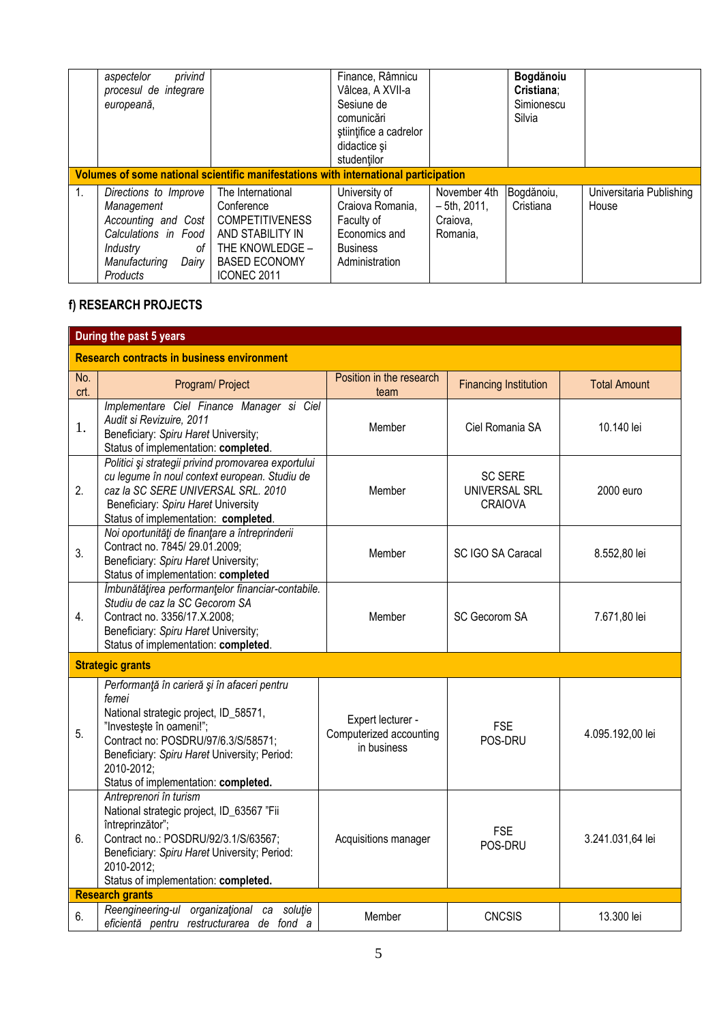|             | privind<br>aspectelor<br>procesul de integrare<br>europeană,                                                                                 |                                                                                                                                         | Finance, Râmnicu<br>Vâlcea, A XVII-a<br>Sesiune de<br>comunicări<br>stiintifice a cadrelor<br>didactice și<br>studentilor |                                                        | Bogdănoiu<br>Cristiana;<br>Simionescu<br>Silvia |                                   |
|-------------|----------------------------------------------------------------------------------------------------------------------------------------------|-----------------------------------------------------------------------------------------------------------------------------------------|---------------------------------------------------------------------------------------------------------------------------|--------------------------------------------------------|-------------------------------------------------|-----------------------------------|
|             |                                                                                                                                              | Volumes of some national scientific manifestations with international participation                                                     |                                                                                                                           |                                                        |                                                 |                                   |
| $1_{\cdot}$ | Directions to Improve<br>Management<br>Accounting and Cost<br>Calculations in Food<br>Industry<br>of I<br>Manufacturing<br>Dairy<br>Products | The International<br>Conference<br><b>COMPETITIVENESS</b><br>AND STABILITY IN<br>THE KNOWLEDGE -<br><b>BASED ECONOMY</b><br>ICONEC 2011 | University of<br>Craiova Romania,<br>Faculty of<br>Economics and<br><b>Business</b><br>Administration                     | November 4th<br>$-5$ th. 2011.<br>Craiova,<br>Romania, | Bogdănoiu,<br>Cristiana                         | Universitaria Publishing<br>House |

# **f) RESEARCH PROJECTS**

|                | During the past 5 years                                                                                                                                                                                                                                                |                                                             |                                                   |                     |  |  |  |  |
|----------------|------------------------------------------------------------------------------------------------------------------------------------------------------------------------------------------------------------------------------------------------------------------------|-------------------------------------------------------------|---------------------------------------------------|---------------------|--|--|--|--|
|                | <b>Research contracts in business environment</b>                                                                                                                                                                                                                      |                                                             |                                                   |                     |  |  |  |  |
| No.<br>crt.    | Program/ Project                                                                                                                                                                                                                                                       | Position in the research<br>team                            | <b>Financing Institution</b>                      | <b>Total Amount</b> |  |  |  |  |
| 1.             | Implementare Ciel Finance Manager si Ciel<br>Audit si Revizuire, 2011<br>Beneficiary: Spiru Haret University;<br>Status of implementation: completed.                                                                                                                  | Member                                                      | Ciel Romania SA                                   | 10.140 lei          |  |  |  |  |
| 2.             | Politici și strategii privind promovarea exportului<br>cu legume în noul context european. Studiu de<br>caz la SC SERE UNIVERSAL SRL. 2010<br>Beneficiary: Spiru Haret University<br>Status of implementation: completed.                                              | Member                                                      | <b>SC SERE</b><br>UNIVERSAL SRL<br><b>CRAIOVA</b> | 2000 euro           |  |  |  |  |
| 3.             | Noi oportunități de finanțare a întreprinderii<br>Contract no. 7845/29.01.2009;<br>Beneficiary: Spiru Haret University;<br>Status of implementation: completed                                                                                                         | Member                                                      | SC IGO SA Caracal                                 | 8.552,80 lei        |  |  |  |  |
| 4.             | Îmbunătățirea performanțelor financiar-contabile.<br>Studiu de caz la SC Gecorom SA<br>Contract no. 3356/17.X.2008;<br>Beneficiary: Spiru Haret University;<br>Status of implementation: completed.                                                                    | Member                                                      | SC Gecorom SA                                     | 7.671,80 lei        |  |  |  |  |
|                | <b>Strategic grants</b>                                                                                                                                                                                                                                                |                                                             |                                                   |                     |  |  |  |  |
| 5 <sub>1</sub> | Performanță în carieră și în afaceri pentru<br>femei<br>National strategic project, ID_58571,<br>"Investeste în oameni!";<br>Contract no: POSDRU/97/6.3/S/58571;<br>Beneficiary: Spiru Haret University; Period:<br>2010-2012;<br>Status of implementation: completed. | Expert lecturer -<br>Computerized accounting<br>in business | <b>FSE</b><br>POS-DRU                             | 4.095.192,00 lei    |  |  |  |  |
| 6.             | Antreprenori în turism<br>National strategic project, ID_63567 "Fii<br>întreprinzător";<br>Contract no.: POSDRU/92/3.1/S/63567;<br>Beneficiary: Spiru Haret University; Period:<br>2010-2012:<br>Status of implementation: completed.                                  | Acquisitions manager                                        | <b>FSE</b><br>POS-DRU                             | 3.241.031,64 lei    |  |  |  |  |
|                | <b>Research grants</b>                                                                                                                                                                                                                                                 |                                                             |                                                   |                     |  |  |  |  |
| 6.             | Reengineering-ul organizational<br>ca soluție<br>eficientă pentru restructurarea de fond a                                                                                                                                                                             | Member                                                      | <b>CNCSIS</b>                                     | 13.300 lei          |  |  |  |  |